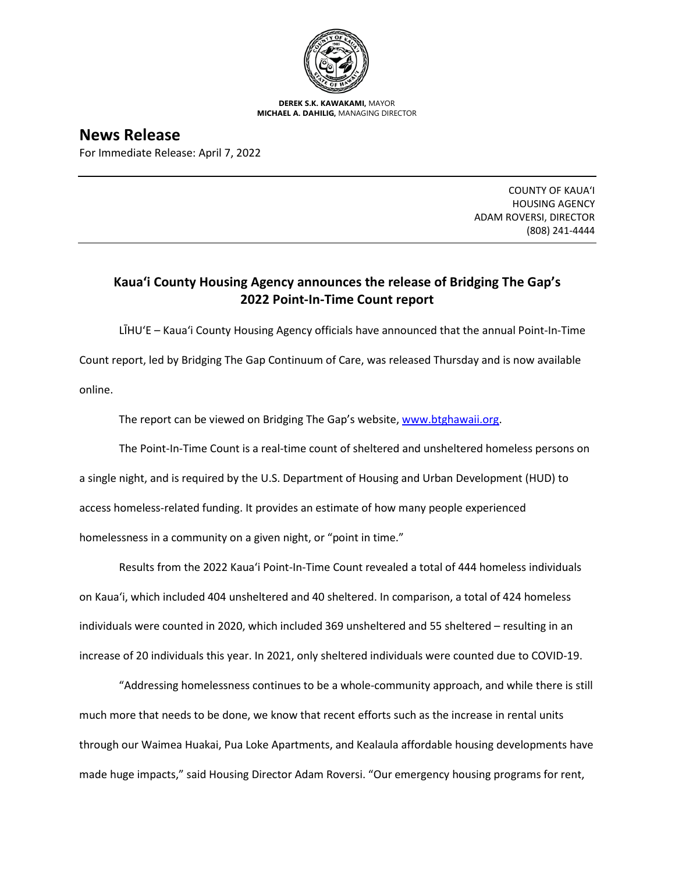

**DEREK S.K. KAWAKAMI,** MAYOR **MICHAEL A. DAHILIG,** MANAGING DIRECTOR

**News Release** For Immediate Release: April 7, 2022

> COUNTY OF KAUA'I HOUSING AGENCY ADAM ROVERSI, DIRECTOR (808) 241-4444

## **Kaua'i County Housing Agency announces the release of Bridging The Gap's 2022 Point-In-Time Count report**

LĪHU'E – Kaua'i County Housing Agency officials have announced that the annual Point-In-Time Count report, led by Bridging The Gap Continuum of Care, was released Thursday and is now available online.

The report can be viewed on Bridging The Gap's website, [www.btghawaii.org.](http://www.btghawaii.org/)

The Point-In-Time Count is a real-time count of sheltered and unsheltered homeless persons on a single night, and is required by the U.S. Department of Housing and Urban Development (HUD) to access homeless-related funding. It provides an estimate of how many people experienced homelessness in a community on a given night, or "point in time."

Results from the 2022 Kaua'i Point-In-Time Count revealed a total of 444 homeless individuals on Kaua'i, which included 404 unsheltered and 40 sheltered. In comparison, a total of 424 homeless individuals were counted in 2020, which included 369 unsheltered and 55 sheltered – resulting in an increase of 20 individuals this year. In 2021, only sheltered individuals were counted due to COVID-19.

"Addressing homelessness continues to be a whole-community approach, and while there is still much more that needs to be done, we know that recent efforts such as the increase in rental units through our Waimea Huakai, Pua Loke Apartments, and Kealaula affordable housing developments have made huge impacts," said Housing Director Adam Roversi. "Our emergency housing programs for rent,